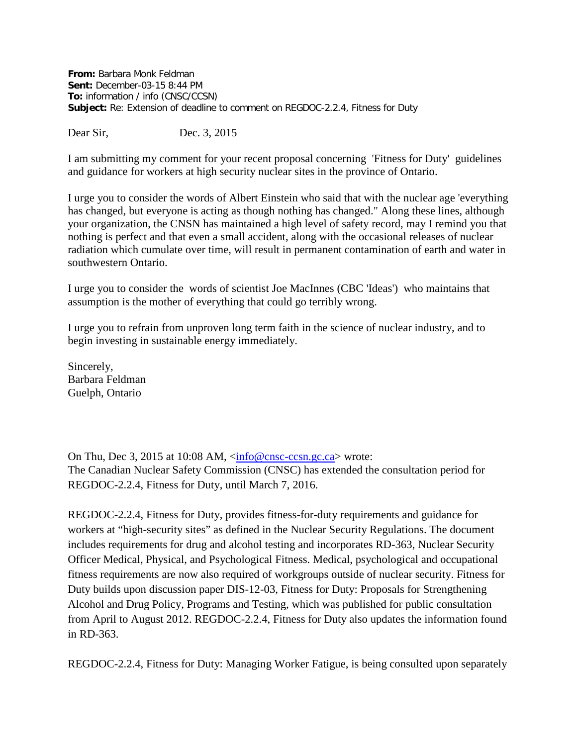**From:** Barbara Monk Feldman **Sent:** December-03-15 8:44 PM **To:** information / info (CNSC/CCSN) **Subject:** Re: Extension of deadline to comment on REGDOC-2.2.4, Fitness for Duty

Dear Sir, Dec. 3, 2015

I am submitting my comment for your recent proposal concerning 'Fitness for Duty' guidelines and guidance for workers at high security nuclear sites in the province of Ontario.

I urge you to consider the words of Albert Einstein who said that with the nuclear age 'everything has changed, but everyone is acting as though nothing has changed." Along these lines, although your organization, the CNSN has maintained a high level of safety record, may I remind you that nothing is perfect and that even a small accident, along with the occasional releases of nuclear radiation which cumulate over time, will result in permanent contamination of earth and water in southwestern Ontario.

I urge you to consider the words of scientist Joe MacInnes (CBC 'Ideas') who maintains that assumption is the mother of everything that could go terribly wrong.

I urge you to refrain from unproven long term faith in the science of nuclear industry, and to begin investing in sustainable energy immediately.

Sincerely, Barbara Feldman Guelph, Ontario

On Thu, Dec 3, 2015 at 10:08 AM, [<info@cnsc-ccsn.gc.ca>](mailto:info@cnsc-ccsn.gc.ca) wrote: The Canadian Nuclear Safety Commission (CNSC) has extended the consultation period for REGDOC-2.2.4, Fitness for Duty, until March 7, 2016.

REGDOC-2.2.4, Fitness for Duty, provides fitness-for-duty requirements and guidance for workers at "high-security sites" as defined in the Nuclear Security Regulations. The document includes requirements for drug and alcohol testing and incorporates RD-363, Nuclear Security Officer Medical, Physical, and Psychological Fitness. Medical, psychological and occupational fitness requirements are now also required of workgroups outside of nuclear security. Fitness for Duty builds upon discussion paper DIS-12-03, Fitness for Duty: Proposals for Strengthening Alcohol and Drug Policy, Programs and Testing, which was published for public consultation from April to August 2012. REGDOC-2.2.4, Fitness for Duty also updates the information found in RD-363.

REGDOC-2.2.4, Fitness for Duty: Managing Worker Fatigue, is being consulted upon separately